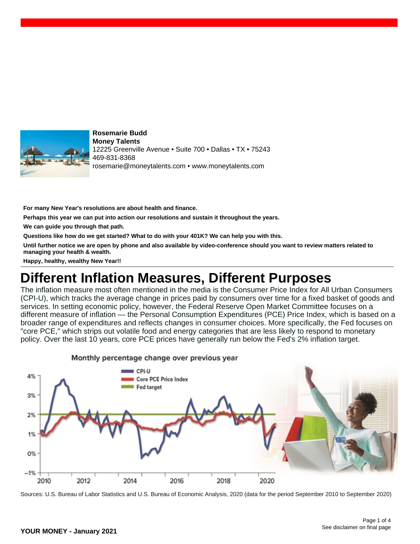

**Rosemarie Budd Money Talents** 12225 Greenville Avenue • Suite 700 • Dallas • TX • 75243 469-831-8368 rosemarie@moneytalents.com • www.moneytalents.com

**For many New Year's resolutions are about health and finance.**

**Perhaps this year we can put into action our resolutions and sustain it throughout the years.**

**We can guide you through that path.**

**Questions like how do we get started? What to do with your 401K? We can help you with this.**

**Until further notice we are open by phone and also available by video-conference should you want to review matters related to managing your health & wealth.**

**Happy, healthy, wealthy New Year!!**

## **Different Inflation Measures, Different Purposes**

The inflation measure most often mentioned in the media is the Consumer Price Index for All Urban Consumers (CPI-U), which tracks the average change in prices paid by consumers over time for a fixed basket of goods and services. In setting economic policy, however, the Federal Reserve Open Market Committee focuses on a different measure of inflation — the Personal Consumption Expenditures (PCE) Price Index, which is based on a broader range of expenditures and reflects changes in consumer choices. More specifically, the Fed focuses on "core PCE," which strips out volatile food and energy categories that are less likely to respond to monetary policy. Over the last 10 years, core PCE prices have generally run below the Fed's 2% inflation target.



Monthly percentage change over previous year

Sources: U.S. Bureau of Labor Statistics and U.S. Bureau of Economic Analysis, 2020 (data for the period September 2010 to September 2020)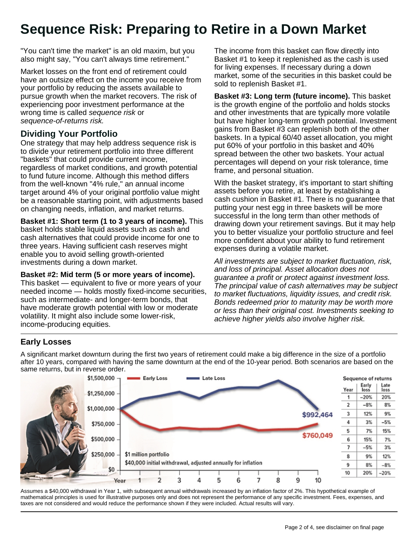# **Sequence Risk: Preparing to Retire in a Down Market**

"You can't time the market" is an old maxim, but you also might say, "You can't always time retirement."

Market losses on the front end of retirement could have an outsize effect on the income you receive from your portfolio by reducing the assets available to pursue growth when the market recovers. The risk of experiencing poor investment performance at the wrong time is called sequence risk or sequence-of-returns risk.

### **Dividing Your Portfolio**

One strategy that may help address sequence risk is to divide your retirement portfolio into three different "baskets" that could provide current income, regardless of market conditions, and growth potential to fund future income. Although this method differs from the well-known "4% rule," an annual income target around 4% of your original portfolio value might be a reasonable starting point, with adjustments based on changing needs, inflation, and market returns.

**Basket #1: Short term (1 to 3 years of income).** This basket holds stable liquid assets such as cash and cash alternatives that could provide income for one to three years. Having sufficient cash reserves might enable you to avoid selling growth-oriented investments during a down market.

**Basket #2: Mid term (5 or more years of income).**

This basket — equivalent to five or more years of your needed income — holds mostly fixed-income securities, such as intermediate- and longer-term bonds, that have moderate growth potential with low or moderate volatility. It might also include some lower-risk, income-producing equities.

The income from this basket can flow directly into Basket #1 to keep it replenished as the cash is used for living expenses. If necessary during a down market, some of the securities in this basket could be sold to replenish Basket #1.

**Basket #3: Long term (future income).** This basket is the growth engine of the portfolio and holds stocks and other investments that are typically more volatile but have higher long-term growth potential. Investment gains from Basket #3 can replenish both of the other baskets. In a typical 60/40 asset allocation, you might put 60% of your portfolio in this basket and 40% spread between the other two baskets. Your actual percentages will depend on your risk tolerance, time frame, and personal situation.

With the basket strategy, it's important to start shifting assets before you retire, at least by establishing a cash cushion in Basket #1. There is no guarantee that putting your nest egg in three baskets will be more successful in the long term than other methods of drawing down your retirement savings. But it may help you to better visualize your portfolio structure and feel more confident about your ability to fund retirement expenses during a volatile market.

All investments are subject to market fluctuation, risk, and loss of principal. Asset allocation does not guarantee a profit or protect against investment loss. The principal value of cash alternatives may be subject to market fluctuations, liquidity issues, and credit risk. Bonds redeemed prior to maturity may be worth more or less than their original cost. Investments seeking to achieve higher yields also involve higher risk.

### **Early Losses**

A significant market downturn during the first two years of retirement could make a big difference in the size of a portfolio after 10 years, compared with having the same downturn at the end of the 10-year period. Both scenarios are based on the same returns, but in reverse order.



Assumes a \$40,000 withdrawal in Year 1, with subsequent annual withdrawals increased by an inflation factor of 2%. This hypothetical example of mathematical principles is used for illustrative purposes only and does not represent the performance of any specific investment. Fees, expenses, and taxes are not considered and would reduce the performance shown if they were included. Actual results will vary.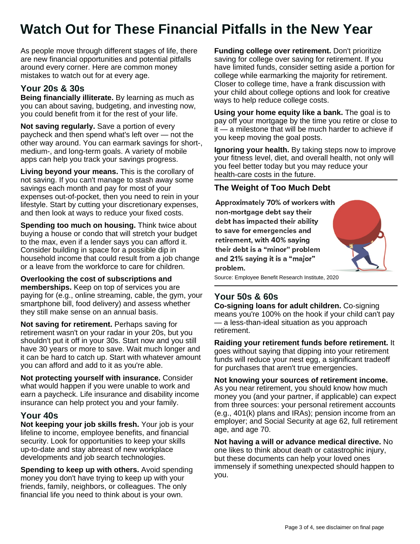# **Watch Out for These Financial Pitfalls in the New Year**

As people move through different stages of life, there are new financial opportunities and potential pitfalls around every corner. Here are common money mistakes to watch out for at every age.

### **Your 20s & 30s**

**Being financially illiterate.** By learning as much as you can about saving, budgeting, and investing now, you could benefit from it for the rest of your life.

**Not saving regularly.** Save a portion of every paycheck and then spend what's left over — not the other way around. You can earmark savings for short-, medium-, and long-term goals. A variety of mobile apps can help you track your savings progress.

**Living beyond your means.** This is the corollary of not saving. If you can't manage to stash away some savings each month and pay for most of your expenses out-of-pocket, then you need to rein in your lifestyle. Start by cutting your discretionary expenses, and then look at ways to reduce your fixed costs.

**Spending too much on housing.** Think twice about buying a house or condo that will stretch your budget to the max, even if a lender says you can afford it. Consider building in space for a possible dip in household income that could result from a job change or a leave from the workforce to care for children.

**Overlooking the cost of subscriptions and memberships.** Keep on top of services you are paying for (e.g., online streaming, cable, the gym, your smartphone bill, food delivery) and assess whether they still make sense on an annual basis.

**Not saving for retirement.** Perhaps saving for retirement wasn't on your radar in your 20s, but you shouldn't put it off in your 30s. Start now and you still have 30 years or more to save. Wait much longer and it can be hard to catch up. Start with whatever amount you can afford and add to it as you're able.

**Not protecting yourself with insurance.** Consider what would happen if you were unable to work and earn a paycheck. Life insurance and disability income insurance can help protect you and your family.

#### **Your 40s**

**Not keeping your job skills fresh.** Your job is your lifeline to income, employee benefits, and financial security. Look for opportunities to keep your skills up-to-date and stay abreast of new workplace developments and job search technologies.

**Spending to keep up with others.** Avoid spending money you don't have trying to keep up with your friends, family, neighbors, or colleagues. The only financial life you need to think about is your own.

**Funding college over retirement.** Don't prioritize saving for college over saving for retirement. If you have limited funds, consider setting aside a portion for college while earmarking the majority for retirement. Closer to college time, have a frank discussion with your child about college options and look for creative ways to help reduce college costs.

**Using your home equity like a bank.** The goal is to pay off your mortgage by the time you retire or close to it — a milestone that will be much harder to achieve if you keep moving the goal posts.

**Ignoring your health.** By taking steps now to improve your fitness level, diet, and overall health, not only will you feel better today but you may reduce your health-care costs in the future.

#### **The Weight of Too Much Debt**

Approximately 70% of workers with non-mortgage debt say their debt has impacted their ability to save for emergencies and retirement, with 40% saying their debt is a "minor" problem and 21% saying it is a "major" problem.



Source: Employee Benefit Research Institute, 2020

### **Your 50s & 60s**

**Co-signing loans for adult children.** Co-signing means you're 100% on the hook if your child can't pay — a less-than-ideal situation as you approach retirement.

**Raiding your retirement funds before retirement.** It goes without saying that dipping into your retirement funds will reduce your nest egg, a significant tradeoff for purchases that aren't true emergencies.

**Not knowing your sources of retirement income.** As you near retirement, you should know how much money you (and your partner, if applicable) can expect from three sources: your personal retirement accounts (e.g., 401(k) plans and IRAs); pension income from an employer; and Social Security at age 62, full retirement age, and age 70.

**Not having a will or advance medical directive.** No one likes to think about death or catastrophic injury, but these documents can help your loved ones immensely if something unexpected should happen to you.